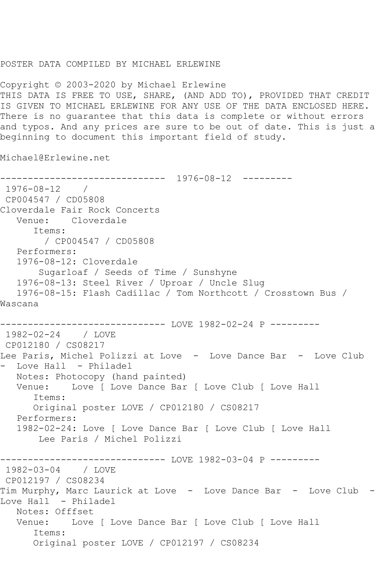## POSTER DATA COMPILED BY MICHAEL ERLEWINE

Copyright © 2003-2020 by Michael Erlewine THIS DATA IS FREE TO USE, SHARE, (AND ADD TO), PROVIDED THAT CREDIT IS GIVEN TO MICHAEL ERLEWINE FOR ANY USE OF THE DATA ENCLOSED HERE. There is no guarantee that this data is complete or without errors and typos. And any prices are sure to be out of date. This is just a beginning to document this important field of study.

Michael@Erlewine.net

------------------------------ 1976-08-12 --------- 1976-08-12 / CP004547 / CD05808 Cloverdale Fair Rock Concerts Venue: Cloverdale Items: / CP004547 / CD05808 Performers: 1976-08-12: Cloverdale Sugarloaf / Seeds of Time / Sunshyne 1976-08-13: Steel River / Uproar / Uncle Slug 1976-08-15: Flash Cadillac / Tom Northcott / Crosstown Bus / Wascana ------------------------------ LOVE 1982-02-24 P --------- 1982-02-24 / LOVE CP012180 / CS08217 Lee Paris, Michel Polizzi at Love - Love Dance Bar - Love Club - Love Hall - Philadel Notes: Photocopy (hand painted) Venue: Love [ Love Dance Bar [ Love Club [ Love Hall Items: Original poster LOVE / CP012180 / CS08217 Performers: 1982-02-24: Love [ Love Dance Bar [ Love Club [ Love Hall Lee Paris / Michel Polizzi ------------------------------ LOVE 1982-03-04 P ---------  $1982 - 03 - 04$ CP012197 / CS08234 Tim Murphy, Marc Laurick at Love - Love Dance Bar - Love Club Love Hall - Philadel Notes: Offfset<br>Venue: Love Love [ Love Dance Bar [ Love Club [ Love Hall Items: Original poster LOVE / CP012197 / CS08234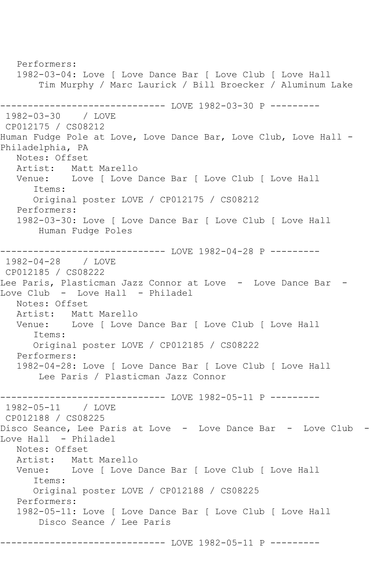Performers: 1982-03-04: Love [ Love Dance Bar [ Love Club [ Love Hall Tim Murphy / Marc Laurick / Bill Broecker / Aluminum Lake ------------------------------ LOVE 1982-03-30 P --------- 1982-03-30 / LOVE CP012175 / CS08212 Human Fudge Pole at Love, Love Dance Bar, Love Club, Love Hall -Philadelphia, PA Notes: Offset<br>Artist: Mat Artist: Matt Marello<br>Venue: Love [ Love ] Love | Love Dance Bar | Love Club | Love Hall Items: Original poster LOVE / CP012175 / CS08212 Performers: 1982-03-30: Love [ Love Dance Bar [ Love Club [ Love Hall Human Fudge Poles ------------------------------ LOVE 1982-04-28 P --------- 1982-04-28 / LOVE CP012185 / CS08222 Lee Paris, Plasticman Jazz Connor at Love - Love Dance Bar -Love Club - Love Hall - Philadel Notes: Offset Artist: Matt Marello<br>Venue: Love [ Love ] Love [ Love Dance Bar [ Love Club [ Love Hall Items: Original poster LOVE / CP012185 / CS08222 Performers: 1982-04-28: Love [ Love Dance Bar [ Love Club [ Love Hall Lee Paris / Plasticman Jazz Connor ---------------------------------- LOVE 1982-05-11 P ----------<br>1982-05-11 / LOVE  $1982 - 05 - 11$ CP012188 / CS08225 Disco Seance, Lee Paris at Love - Love Dance Bar - Love Club - Love Hall - Philadel Notes: Offset Artist: Matt Marello Venue: Love [ Love Dance Bar [ Love Club [ Love Hall Items: Original poster LOVE / CP012188 / CS08225 Performers: 1982-05-11: Love [ Love Dance Bar [ Love Club [ Love Hall Disco Seance / Lee Paris ------------------------------ LOVE 1982-05-11 P ---------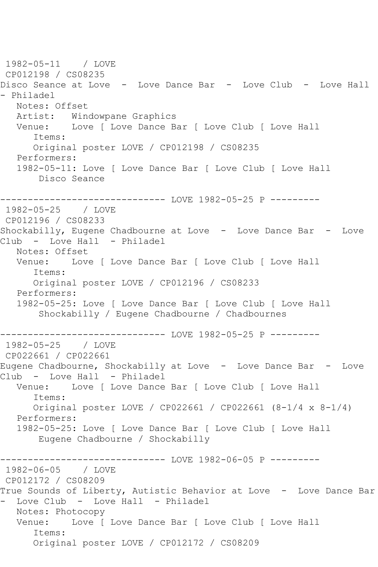1982-05-11 / LOVE CP012198 / CS08235 Disco Seance at Love - Love Dance Bar - Love Club - Love Hall - Philadel Notes: Offset<br>Artist: Win Windowpane Graphics Venue: Love [ Love Dance Bar [ Love Club [ Love Hall Items: Original poster LOVE / CP012198 / CS08235 Performers: 1982-05-11: Love [ Love Dance Bar [ Love Club [ Love Hall Disco Seance ------------------------------ LOVE 1982-05-25 P --------- 1982-05-25 / LOVE CP012196 / CS08233 Shockabilly, Eugene Chadbourne at Love - Love Dance Bar - Love Club - Love Hall - Philadel Notes: Offset Venue: Love [ Love Dance Bar [ Love Club [ Love Hall Items: Original poster LOVE / CP012196 / CS08233 Performers: 1982-05-25: Love [ Love Dance Bar [ Love Club [ Love Hall Shockabilly / Eugene Chadbourne / Chadbournes ------------------------------ LOVE 1982-05-25 P --------- 1982-05-25 / LOVE CP022661 / CP022661 Eugene Chadbourne, Shockabilly at Love - Love Dance Bar - Love Club - Love Hall - Philadel Venue: Love [ Love Dance Bar [ Love Club [ Love Hall Items: Original poster LOVE / CP022661 / CP022661 (8-1/4 x 8-1/4) Performers: 1982-05-25: Love [ Love Dance Bar [ Love Club [ Love Hall Eugene Chadbourne / Shockabilly ------------------------------ LOVE 1982-06-05 P --------- 1982-06-05 / LOVE CP012172 / CS08209 True Sounds of Liberty, Autistic Behavior at Love - Love Dance Bar - Love Club - Love Hall - Philadel Notes: Photocopy Venue: Love [ Love Dance Bar [ Love Club [ Love Hall Items: Original poster LOVE / CP012172 / CS08209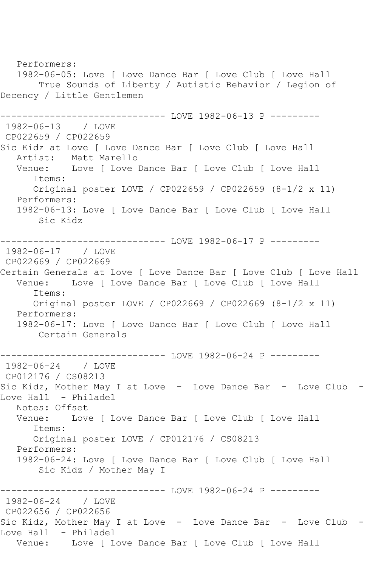Performers: 1982-06-05: Love [ Love Dance Bar [ Love Club [ Love Hall True Sounds of Liberty / Autistic Behavior / Legion of Decency / Little Gentlemen --------------- LOVE 1982-06-13 P ---------1982-06-13 / LOVE CP022659 / CP022659 Sic Kidz at Love [ Love Dance Bar [ Love Club [ Love Hall Artist: Matt Marello Venue: Love [ Love Dance Bar [ Love Club [ Love Hall Items: Original poster LOVE / CP022659 / CP022659 (8-1/2 x 11) Performers: 1982-06-13: Love [ Love Dance Bar [ Love Club [ Love Hall Sic Kidz ------------------------------ LOVE 1982-06-17 P --------- 1982-06-17 / LOVE CP022669 / CP022669 Certain Generals at Love [ Love Dance Bar [ Love Club [ Love Hall Venue: Love [ Love Dance Bar [ Love Club [ Love Hall Items: Original poster LOVE / CP022669 / CP022669 (8-1/2 x 11) Performers: 1982-06-17: Love [ Love Dance Bar [ Love Club [ Love Hall Certain Generals --------------- LOVE 1982-06-24 P ---------1982-06-24 / LOVE CP012176 / CS08213 Sic Kidz, Mother May I at Love - Love Dance Bar - Love Club -Love Hall - Philadel Notes: Offset Venue: Love [ Love Dance Bar [ Love Club [ Love Hall Items: Original poster LOVE / CP012176 / CS08213 Performers: 1982-06-24: Love [ Love Dance Bar [ Love Club [ Love Hall Sic Kidz / Mother May I --------------- LOVE 1982-06-24 P ---------1982-06-24 / LOVE CP022656 / CP022656 Sic Kidz, Mother May I at Love - Love Dance Bar - Love Club - Love Hall - Philadel Venue: Love [ Love Dance Bar [ Love Club [ Love Hall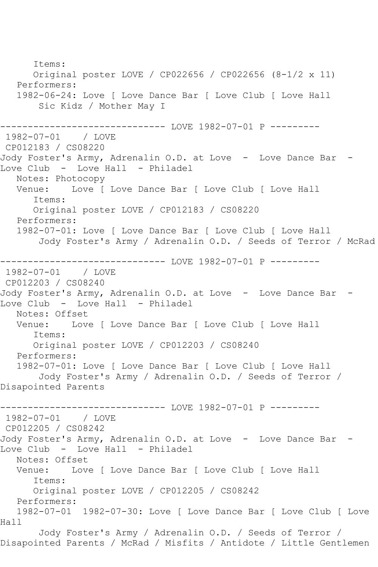Items: Original poster LOVE / CP022656 / CP022656 (8-1/2 x 11) Performers: 1982-06-24: Love [ Love Dance Bar [ Love Club [ Love Hall Sic Kidz / Mother May I ------------------------------ LOVE 1982-07-01 P ---------  $1982 - 07 - 01$ CP012183 / CS08220 Jody Foster's Army, Adrenalin O.D. at Love - Love Dance Bar -Love Club - Love Hall - Philadel Notes: Photocopy Venue: Love [ Love Dance Bar [ Love Club [ Love Hall Items: Original poster LOVE / CP012183 / CS08220 Performers: 1982-07-01: Love [ Love Dance Bar [ Love Club [ Love Hall Jody Foster's Army / Adrenalin O.D. / Seeds of Terror / McRad -------------------------------- LOVE 1982-07-01 P ---------<br>1982-07-01 / LOVE  $1982 - 07 - 01$ CP012203 / CS08240 Jody Foster's Army, Adrenalin O.D. at Love - Love Dance Bar -Love Club - Love Hall - Philadel Notes: Offset<br>Venue: Love Love | Love Dance Bar | Love Club | Love Hall Items: Original poster LOVE / CP012203 / CS08240 Performers: 1982-07-01: Love [ Love Dance Bar [ Love Club [ Love Hall Jody Foster's Army / Adrenalin O.D. / Seeds of Terror / Disapointed Parents ------------------------------ LOVE 1982-07-01 P --------- 1982-07-01 / LOVE CP012205 / CS08242 Jody Foster's Army, Adrenalin O.D. at Love - Love Dance Bar Love Club - Love Hall - Philadel Notes: Offset<br>Venue: Love Love [ Love Dance Bar [ Love Club [ Love Hall Items: Original poster LOVE / CP012205 / CS08242 Performers: 1982-07-01 1982-07-30: Love [ Love Dance Bar [ Love Club [ Love Hall Jody Foster's Army / Adrenalin O.D. / Seeds of Terror / Disapointed Parents / McRad / Misfits / Antidote / Little Gentlemen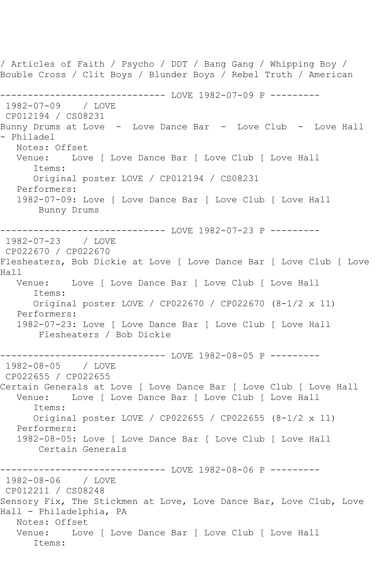/ Articles of Faith / Psycho / DDT / Bang Gang / Whipping Boy / Bouble Cross / Clit Boys / Blunder Boys / Rebel Truth / American ---------------------------------- LOVE 1982-07-09 P ----------<br>1982-07-09 / LOVE 1982-07-09 CP012194 / CS08231 Bunny Drums at Love - Love Dance Bar - Love Club - Love Hall - Philadel Notes: Offset Venue: Love [ Love Dance Bar [ Love Club [ Love Hall Items: Original poster LOVE / CP012194 / CS08231 Performers: 1982-07-09: Love [ Love Dance Bar [ Love Club [ Love Hall Bunny Drums --------------------------------- LOVE 1982-07-23 P ----------<br>1982-07-23 / LOVE 1982-07-23 CP022670 / CP022670 Flesheaters, Bob Dickie at Love [ Love Dance Bar [ Love Club [ Love Hall Venue: Love [ Love Dance Bar [ Love Club [ Love Hall Items: Original poster LOVE / CP022670 / CP022670 (8-1/2 x 11) Performers: 1982-07-23: Love [ Love Dance Bar [ Love Club [ Love Hall Flesheaters / Bob Dickie -------------- LOVE 1982-08-05 P ---------1982-08-05 / LOVE CP022655 / CP022655 Certain Generals at Love [ Love Dance Bar [ Love Club [ Love Hall Venue: Love [ Love Dance Bar [ Love Club [ Love Hall Items: Original poster LOVE / CP022655 / CP022655 (8-1/2 x 11) Performers: 1982-08-05: Love [ Love Dance Bar [ Love Club [ Love Hall Certain Generals ----------------------------- LOVE 1982-08-06 P ---------1982-08-06 / LOVE CP012211 / CS08248 Sensory Fix, The Stickmen at Love, Love Dance Bar, Love Club, Love Hall - Philadelphia, PA Notes: Offset Venue: Love [ Love Dance Bar [ Love Club [ Love Hall Items: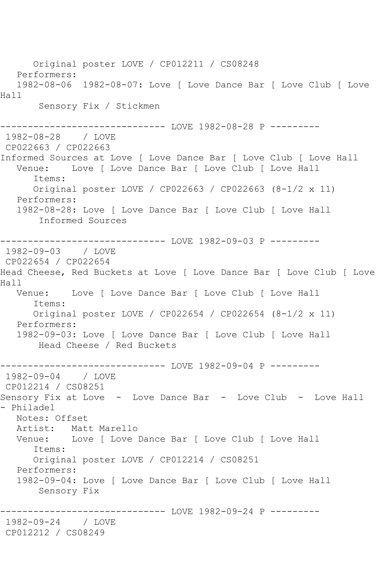Original poster LOVE / CP012211 / CS08248 Performers: 1982-08-06 1982-08-07: Love [ Love Dance Bar [ Love Club [ Love Hall Sensory Fix / Stickmen ------------------------------ LOVE 1982-08-28 P --------- 1982-08-28 / LOVE CP022663 / CP022663 Informed Sources at Love [ Love Dance Bar [ Love Club [ Love Hall Venue: Love [ Love Dance Bar [ Love Club [ Love Hall Items: Original poster LOVE / CP022663 / CP022663 (8-1/2 x 11) Performers: 1982-08-28: Love [ Love Dance Bar [ Love Club [ Love Hall Informed Sources ------------------------------ LOVE 1982-09-03 P --------- 1982-09-03 / LOVE CP022654 / CP022654 Head Cheese, Red Buckets at Love [ Love Dance Bar [ Love Club [ Love Hall Venue: Love [ Love Dance Bar [ Love Club [ Love Hall Items: Original poster LOVE / CP022654 / CP022654 (8-1/2 x 11) Performers: 1982-09-03: Love [ Love Dance Bar [ Love Club [ Love Hall Head Cheese / Red Buckets ---------------------------------- LOVE 1982-09-04 P ---------<br>1982-09-04 / LOVE 1982-09-04 CP012214 / CS08251 Sensory Fix at Love - Love Dance Bar - Love Club - Love Hall - Philadel Notes: Offset Artist: Matt Marello Venue: Love [ Love Dance Bar [ Love Club [ Love Hall Items: Original poster LOVE / CP012214 / CS08251 Performers: 1982-09-04: Love [ Love Dance Bar [ Love Club [ Love Hall Sensory Fix ------------ LOVE 1982-09-24 P ---------1982-09-24 / LOVE CP012212 / CS08249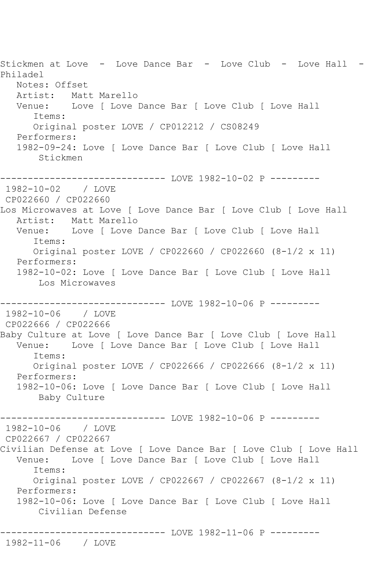Stickmen at Love - Love Dance Bar - Love Club - Love Hall - Philadel Notes: Offset Artist: Matt Marello<br>Venue: Love [ Love ] Love [ Love Dance Bar [ Love Club [ Love Hall Items: Original poster LOVE / CP012212 / CS08249 Performers: 1982-09-24: Love [ Love Dance Bar [ Love Club [ Love Hall Stickmen ------------------------------ LOVE 1982-10-02 P ---------  $1982 - 10 - 02$ CP022660 / CP022660 Los Microwaves at Love [ Love Dance Bar [ Love Club [ Love Hall Artist: Matt Marello Venue: Love [ Love Dance Bar [ Love Club [ Love Hall Items: Original poster LOVE / CP022660 / CP022660 (8-1/2 x 11) Performers: 1982-10-02: Love [ Love Dance Bar [ Love Club [ Love Hall Los Microwaves ------------------------------ LOVE 1982-10-06 P --------- 1982-10-06 / LOVE CP022666 / CP022666 Baby Culture at Love [ Love Dance Bar [ Love Club [ Love Hall Venue: Love [ Love Dance Bar [ Love Club [ Love Hall Items: Original poster LOVE / CP022666 / CP022666 (8-1/2 x 11) Performers: 1982-10-06: Love [ Love Dance Bar [ Love Club [ Love Hall Baby Culture ---------- LOVE 1982-10-06 P ---------1982-10-06 / LOVE CP022667 / CP022667 Civilian Defense at Love [ Love Dance Bar [ Love Club [ Love Hall Venue: Love [ Love Dance Bar [ Love Club [ Love Hall Items: Original poster LOVE / CP022667 / CP022667 (8-1/2 x 11) Performers: 1982-10-06: Love [ Love Dance Bar [ Love Club [ Love Hall Civilian Defense ------------------- LOVE 1982-11-06 P ---------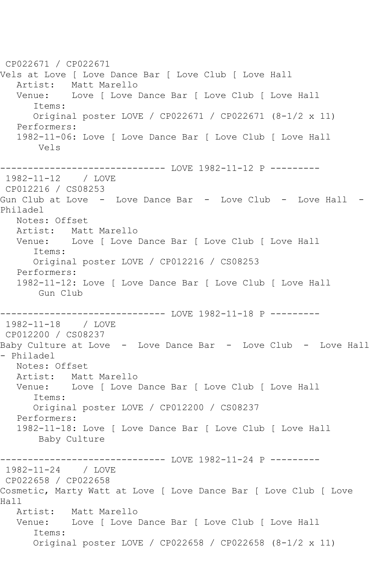CP022671 / CP022671 Vels at Love [ Love Dance Bar [ Love Club [ Love Hall Artist: Matt Marello Venue: Love [ Love Dance Bar [ Love Club [ Love Hall Items: Original poster LOVE / CP022671 / CP022671 (8-1/2 x 11) Performers: 1982-11-06: Love [ Love Dance Bar [ Love Club [ Love Hall Vels ------------------------------ LOVE 1982-11-12 P --------- 1982-11-12 / LOVE CP012216 / CS08253 Gun Club at Love - Love Dance Bar - Love Club - Love Hall -Philadel Notes: Offset<br>Artist: Mat Matt Marello Venue: Love [ Love Dance Bar [ Love Club [ Love Hall Items: Original poster LOVE / CP012216 / CS08253 Performers: 1982-11-12: Love [ Love Dance Bar [ Love Club [ Love Hall Gun Club ------------------------------ LOVE 1982-11-18 P ---------  $1982 - 11 - 18$ CP012200 / CS08237 Baby Culture at Love - Love Dance Bar - Love Club - Love Hall - Philadel Notes: Offset Artist: Matt Marello Venue: Love [ Love Dance Bar [ Love Club [ Love Hall Items: Original poster LOVE / CP012200 / CS08237 Performers: 1982-11-18: Love [ Love Dance Bar [ Love Club [ Love Hall Baby Culture ------------------------------ LOVE 1982-11-24 P --------- 1982-11-24 / LOVE CP022658 / CP022658 Cosmetic, Marty Watt at Love [ Love Dance Bar [ Love Club [ Love Hall Artist: Matt Marello Venue: Love [ Love Dance Bar [ Love Club [ Love Hall Items: Original poster LOVE / CP022658 / CP022658 (8-1/2 x 11)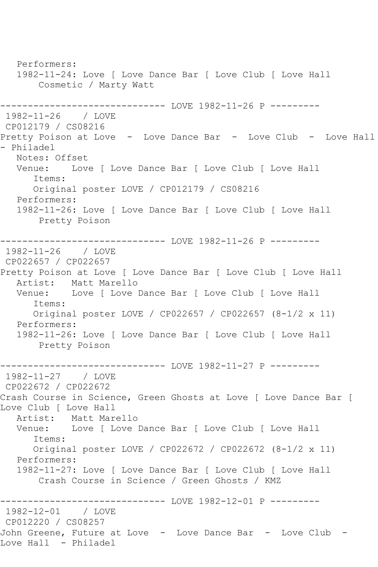Performers: 1982-11-24: Love [ Love Dance Bar [ Love Club [ Love Hall Cosmetic / Marty Watt -------------- LOVE 1982-11-26 P ---------1982-11-26 / LOVE CP012179 / CS08216 Pretty Poison at Love - Love Dance Bar - Love Club - Love Hall - Philadel Notes: Offset Venue: Love [ Love Dance Bar [ Love Club [ Love Hall Items: Original poster LOVE / CP012179 / CS08216 Performers: 1982-11-26: Love [ Love Dance Bar [ Love Club [ Love Hall Pretty Poison ---------- LOVE 1982-11-26 P ---------1982-11-26 / LOVE CP022657 / CP022657 Pretty Poison at Love [ Love Dance Bar [ Love Club [ Love Hall Artist: Matt Marello Venue: Love [ Love Dance Bar [ Love Club [ Love Hall Items: Original poster LOVE / CP022657 / CP022657 (8-1/2 x 11) Performers: 1982-11-26: Love [ Love Dance Bar [ Love Club [ Love Hall Pretty Poison --------------------------------- LOVE 1982-11-27 P ---------<br>1982-11-27 / LOVE 1982-11-27 CP022672 / CP022672 Crash Course in Science, Green Ghosts at Love [ Love Dance Bar [ Love Club [ Love Hall Artist: Matt Marello Venue: Love [ Love Dance Bar [ Love Club [ Love Hall Items: Original poster LOVE / CP022672 / CP022672 (8-1/2 x 11) Performers: 1982-11-27: Love [ Love Dance Bar [ Love Club [ Love Hall Crash Course in Science / Green Ghosts / KMZ ------------------------------ LOVE 1982-12-01 P --------- 1982-12-01 CP012220 / CS08257 John Greene, Future at Love - Love Dance Bar - Love Club - Love Hall - Philadel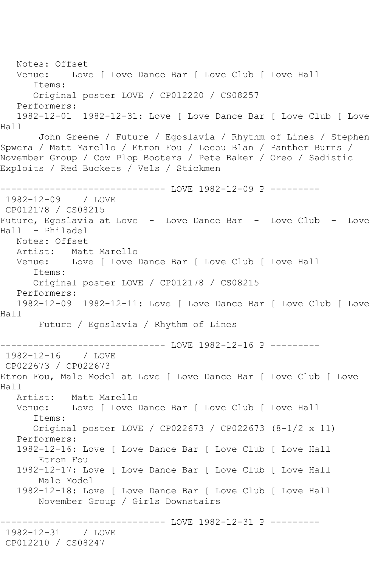Notes: Offset Venue: Love [ Love Dance Bar [ Love Club [ Love Hall Items: Original poster LOVE / CP012220 / CS08257 Performers: 1982-12-01 1982-12-31: Love [ Love Dance Bar [ Love Club [ Love Hall John Greene / Future / Egoslavia / Rhythm of Lines / Stephen Spwera / Matt Marello / Etron Fou / Leeou Blan / Panther Burns / November Group / Cow Plop Booters / Pete Baker / Oreo / Sadistic Exploits / Red Buckets / Vels / Stickmen ------------------------------ LOVE 1982-12-09 P --------- 1982-12-09 / LOVE CP012178 / CS08215 Future, Egoslavia at Love - Love Dance Bar - Love Club - Love Hall - Philadel Notes: Offset<br>Artist: Mat Matt Marello Venue: Love [ Love Dance Bar [ Love Club [ Love Hall Items: Original poster LOVE / CP012178 / CS08215 Performers: 1982-12-09 1982-12-11: Love [ Love Dance Bar [ Love Club [ Love Hall Future / Egoslavia / Rhythm of Lines ---------- LOVE 1982-12-16 P ---------1982-12-16 / LOVE CP022673 / CP022673 Etron Fou, Male Model at Love [ Love Dance Bar [ Love Club [ Love Hall<br>Artist: Artist: Matt Marello<br>Venue: Love [ Love Love [ Love Dance Bar [ Love Club [ Love Hall Items: Original poster LOVE / CP022673 / CP022673 (8-1/2 x 11) Performers: 1982-12-16: Love [ Love Dance Bar [ Love Club [ Love Hall Etron Fou 1982-12-17: Love [ Love Dance Bar [ Love Club [ Love Hall Male Model 1982-12-18: Love [ Love Dance Bar [ Love Club [ Love Hall November Group / Girls Downstairs ------------------------------ LOVE 1982-12-31 P --------- 1982-12-31 / LOVE CP012210 / CS08247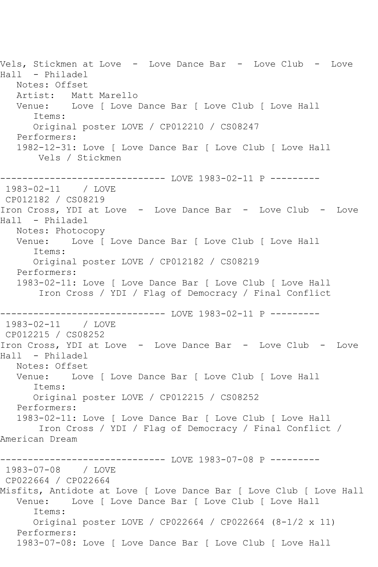Vels, Stickmen at Love - Love Dance Bar - Love Club - Love Hall - Philadel Notes: Offset Artist: Matt Marello<br>Venue: Love [ Love ] Love [ Love Dance Bar [ Love Club [ Love Hall Items: Original poster LOVE / CP012210 / CS08247 Performers: 1982-12-31: Love [ Love Dance Bar [ Love Club [ Love Hall Vels / Stickmen ------------------------------ LOVE 1983-02-11 P ---------  $1983 - 02 - 11$ CP012182 / CS08219 Iron Cross, YDI at Love - Love Dance Bar - Love Club - Love Hall - Philadel Notes: Photocopy Venue: Love [ Love Dance Bar [ Love Club [ Love Hall Items: Original poster LOVE / CP012182 / CS08219 Performers: 1983-02-11: Love [ Love Dance Bar [ Love Club [ Love Hall Iron Cross / YDI / Flag of Democracy / Final Conflict ------------------------------ LOVE 1983-02-11 P ---------  $1983 - 02 - 11$ CP012215 / CS08252 Iron Cross, YDI at Love - Love Dance Bar - Love Club - Love Hall - Philadel Notes: Offset Venue: Love [ Love Dance Bar [ Love Club [ Love Hall Items: Original poster LOVE / CP012215 / CS08252 Performers: 1983-02-11: Love [ Love Dance Bar [ Love Club [ Love Hall Iron Cross / YDI / Flag of Democracy / Final Conflict / American Dream ------------------------------ LOVE 1983-07-08 P --------- 1983-07-08 / LOVE CP022664 / CP022664 Misfits, Antidote at Love [ Love Dance Bar [ Love Club [ Love Hall Venue: Love [ Love Dance Bar [ Love Club [ Love Hall Items: Original poster LOVE / CP022664 / CP022664 (8-1/2 x 11) Performers: 1983-07-08: Love [ Love Dance Bar [ Love Club [ Love Hall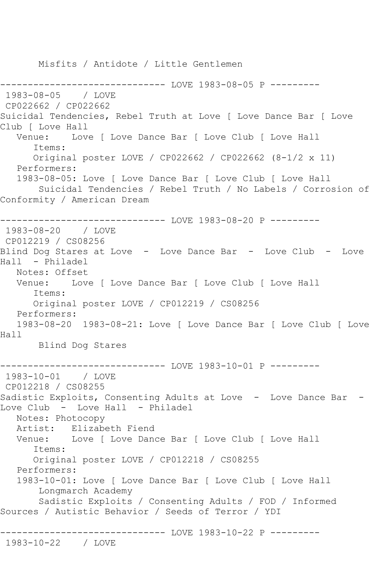Misfits / Antidote / Little Gentlemen

--------------- LOVE 1983-08-05 P ---------1983-08-05 / LOVE CP022662 / CP022662 Suicidal Tendencies, Rebel Truth at Love [ Love Dance Bar [ Love Club [ Love Hall Venue: Love [ Love Dance Bar [ Love Club [ Love Hall Items: Original poster LOVE / CP022662 / CP022662 (8-1/2 x 11) Performers: 1983-08-05: Love [ Love Dance Bar [ Love Club [ Love Hall Suicidal Tendencies / Rebel Truth / No Labels / Corrosion of Conformity / American Dream ----------------------------- LOVE 1983-08-20 P ---------1983-08-20 / LOVE CP012219 / CS08256 Blind Dog Stares at Love - Love Dance Bar - Love Club - Love Hall - Philadel Notes: Offset Venue: Love [ Love Dance Bar [ Love Club [ Love Hall Items: Original poster LOVE / CP012219 / CS08256 Performers: 1983-08-20 1983-08-21: Love [ Love Dance Bar [ Love Club [ Love Hall Blind Dog Stares -------------------------------- LOVE 1983-10-01 P ---------<br>1983-10-01 / LOVE 1983-10-01 CP012218 / CS08255 Sadistic Exploits, Consenting Adults at Love - Love Dance Bar -Love Club - Love Hall - Philadel Notes: Photocopy Artist: Elizabeth Fiend Venue: Love [ Love Dance Bar [ Love Club [ Love Hall Items: Original poster LOVE / CP012218 / CS08255 Performers: 1983-10-01: Love [ Love Dance Bar [ Love Club [ Love Hall Longmarch Academy Sadistic Exploits / Consenting Adults / FOD / Informed Sources / Autistic Behavior / Seeds of Terror / YDI ------------------------------ LOVE 1983-10-22 P --------- 1983-10-22 / LOVE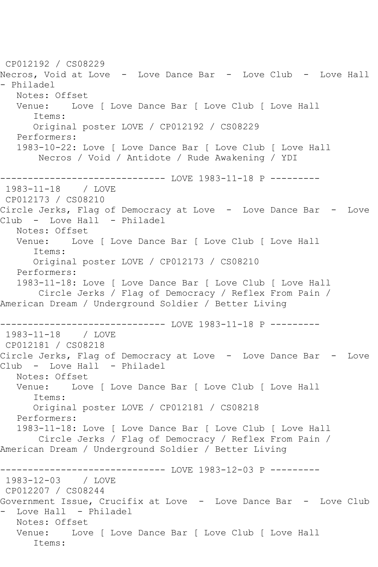```
CP012192 / CS08229
Necros, Void at Love - Love Dance Bar - Love Club - Love Hall 
- Philadel
  Notes: Offset<br>Venue: Lov
           Love [ Love Dance Bar [ Love Club [ Love Hall
      Items:
      Original poster LOVE / CP012192 / CS08229
   Performers:
   1983-10-22: Love [ Love Dance Bar [ Love Club [ Love Hall
       Necros / Void / Antidote / Rude Awakening / YDI
         ------------------------------ LOVE 1983-11-18 P ---------
1983 - 11 - 18CP012173 / CS08210
Circle Jerks, Flag of Democracy at Love - Love Dance Bar - Love
Club - Love Hall - Philadel
   Notes: Offset
   Venue: Love [ Love Dance Bar [ Love Club [ Love Hall
      Items:
      Original poster LOVE / CP012173 / CS08210
   Performers:
   1983-11-18: Love [ Love Dance Bar [ Love Club [ Love Hall
       Circle Jerks / Flag of Democracy / Reflex From Pain / 
American Dream / Underground Soldier / Better Living
------------------------------ LOVE 1983-11-18 P ---------
1983-11-18 / LOVE 
CP012181 / CS08218
Circle Jerks, Flag of Democracy at Love - Love Dance Bar - Love
Club - Love Hall - Philadel
   Notes: Offset
   Venue: Love [ Love Dance Bar [ Love Club [ Love Hall
      Items:
      Original poster LOVE / CP012181 / CS08218
   Performers:
   1983-11-18: Love [ Love Dance Bar [ Love Club [ Love Hall
       Circle Jerks / Flag of Democracy / Reflex From Pain / 
American Dream / Underground Soldier / Better Living
----------------------------- LOVE 1983-12-03 P ---------
1983-12-03 / LOVE 
CP012207 / CS08244
Government Issue, Crucifix at Love - Love Dance Bar - Love Club
  Love Hall - Philadel
   Notes: Offset
   Venue: Love [ Love Dance Bar [ Love Club [ Love Hall
      Items:
```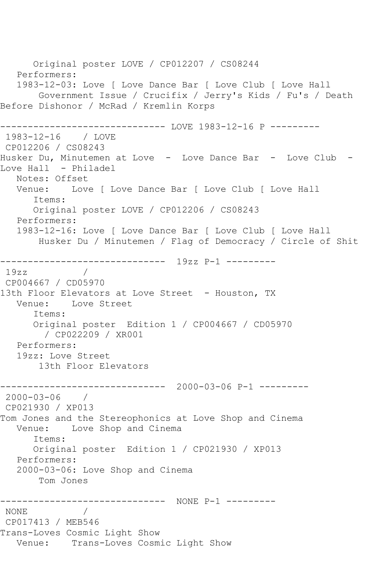Original poster LOVE / CP012207 / CS08244 Performers: 1983-12-03: Love [ Love Dance Bar [ Love Club [ Love Hall Government Issue / Crucifix / Jerry's Kids / Fu's / Death Before Dishonor / McRad / Kremlin Korps ------------------------------ LOVE 1983-12-16 P --------- 1983-12-16 / LOVE CP012206 / CS08243 Husker Du, Minutemen at Love - Love Dance Bar - Love Club - Love Hall - Philadel Notes: Offset Venue: Love [ Love Dance Bar [ Love Club [ Love Hall Items: Original poster LOVE / CP012206 / CS08243 Performers: 1983-12-16: Love [ Love Dance Bar [ Love Club [ Love Hall Husker Du / Minutemen / Flag of Democracy / Circle of Shit ------------------------------ 19zz P-1 ---------  $19zz$ CP004667 / CD05970 13th Floor Elevators at Love Street - Houston, TX<br>Venue: Love Street Love Street Items: Original poster Edition 1 / CP004667 / CD05970 / CP022209 / XR001 Performers: 19zz: Love Street 13th Floor Elevators ------------------------------ 2000-03-06 P-1 --------- 2000-03-06 / CP021930 / XP013 Tom Jones and the Stereophonics at Love Shop and Cinema Venue: Love Shop and Cinema Items: Original poster Edition 1 / CP021930 / XP013 Performers: 2000-03-06: Love Shop and Cinema Tom Jones ------------------------------ NONE P-1 --------- NONE CP017413 / MEB546 Trans-Loves Cosmic Light Show Venue: Trans-Loves Cosmic Light Show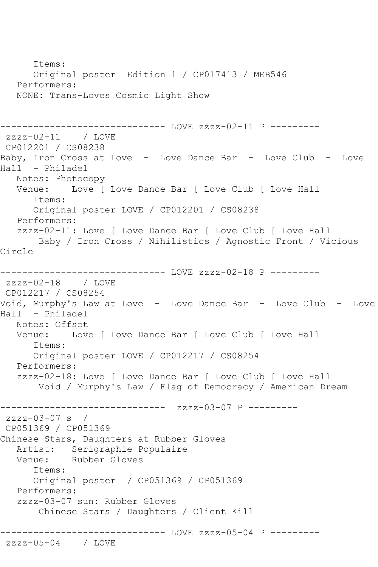```
 Items:
      Original poster Edition 1 / CP017413 / MEB546
   Performers:
   NONE: Trans-Loves Cosmic Light Show
------------------------------ LOVE zzzz-02-11 P ---------
zzzz-02-11 / LOVE 
CP012201 / CS08238
Baby, Iron Cross at Love - Love Dance Bar - Love Club - Love 
Hall - Philadel
   Notes: Photocopy
   Venue: Love [ Love Dance Bar [ Love Club [ Love Hall
      Items:
      Original poster LOVE / CP012201 / CS08238
   Performers:
   zzzz-02-11: Love [ Love Dance Bar [ Love Club [ Love Hall
       Baby / Iron Cross / Nihilistics / Agnostic Front / Vicious 
Circle
------------------------------ LOVE zzzz-02-18 P ---------
zzzz-02-18 / LOVE 
CP012217 / CS08254
Void, Murphy's Law at Love - Love Dance Bar - Love Club - Love 
Hall - Philadel
   Notes: Offset
   Venue: Love [ Love Dance Bar [ Love Club [ Love Hall
      Items:
      Original poster LOVE / CP012217 / CS08254
   Performers:
   zzzz-02-18: Love [ Love Dance Bar [ Love Club [ Love Hall
       Void / Murphy's Law / Flag of Democracy / American Dream
           ------------------------------ zzzz-03-07 P ---------
zzzz-03-07 s / 
CP051369 / CP051369
Chinese Stars, Daughters at Rubber Gloves
   Artist: Serigraphie Populaire
   Venue: Rubber Gloves
      Items:
      Original poster / CP051369 / CP051369
   Performers:
   zzzz-03-07 sun: Rubber Gloves
       Chinese Stars / Daughters / Client Kill
------------------------------ LOVE zzzz-05-04 P ---------
zzzz-05-04 / LOVE
```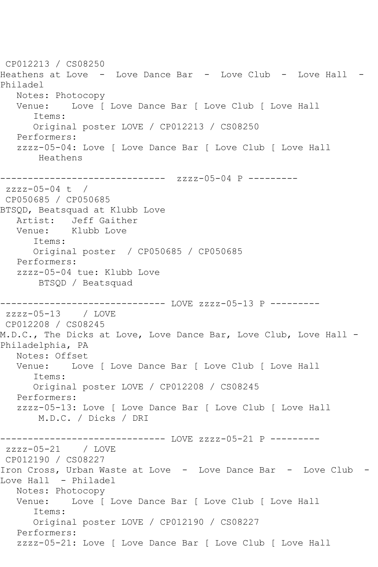CP012213 / CS08250 Heathens at Love - Love Dance Bar - Love Club - Love Hall - Philadel Notes: Photocopy<br>Venue: Love D Love [ Love Dance Bar [ Love Club [ Love Hall Items: Original poster LOVE / CP012213 / CS08250 Performers: zzzz-05-04: Love [ Love Dance Bar [ Love Club [ Love Hall Heathens ------------------------------ zzzz-05-04 P --------  $zzzz-05-04$  t / CP050685 / CP050685 BTSQD, Beatsquad at Klubb Love Artist: Jeff Gaither Venue: Klubb Love Items: Original poster / CP050685 / CP050685 Performers: zzzz-05-04 tue: Klubb Love BTSQD / Beatsquad ----------------------------- LOVE zzzz-05-13 P --------zzzz-05-13 / LOVE CP012208 / CS08245 M.D.C., The Dicks at Love, Love Dance Bar, Love Club, Love Hall - Philadelphia, PA Notes: Offset Venue: Love [ Love Dance Bar [ Love Club [ Love Hall Items: Original poster LOVE / CP012208 / CS08245 Performers: zzzz-05-13: Love [ Love Dance Bar [ Love Club [ Love Hall M.D.C. / Dicks / DRI ------------------------------ LOVE zzzz-05-21 P -------- zzzz-05-21 / LOVE CP012190 / CS08227 Iron Cross, Urban Waste at Love - Love Dance Bar - Love Club -Love Hall - Philadel Notes: Photocopy<br>Venue: Love [ Love [ Love Dance Bar [ Love Club [ Love Hall Items: Original poster LOVE / CP012190 / CS08227 Performers: zzzz-05-21: Love [ Love Dance Bar [ Love Club [ Love Hall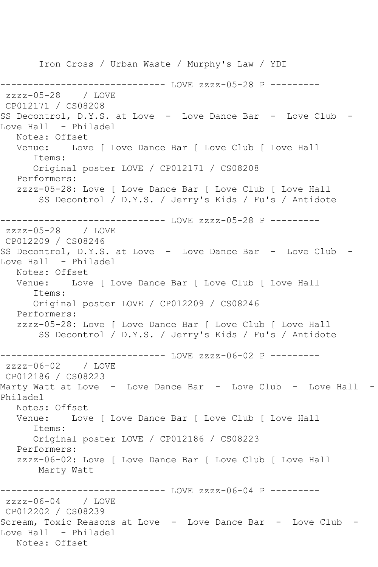Iron Cross / Urban Waste / Murphy's Law / YDI ------------------------------ LOVE zzzz-05-28 P -------- zzzz-05-28 / LOVE CP012171 / CS08208 SS Decontrol, D.Y.S. at Love - Love Dance Bar - Love Club -Love Hall - Philadel Notes: Offset Venue: Love [ Love Dance Bar [ Love Club [ Love Hall Items: Original poster LOVE / CP012171 / CS08208 Performers: zzzz-05-28: Love [ Love Dance Bar [ Love Club [ Love Hall SS Decontrol / D.Y.S. / Jerry's Kids / Fu's / Antidote ------------------------------ LOVE zzzz-05-28 P -------- zzzz-05-28 / LOVE CP012209 / CS08246 SS Decontrol, D.Y.S. at Love - Love Dance Bar - Love Club -Love Hall - Philadel Notes: Offset Venue: Love [ Love Dance Bar [ Love Club [ Love Hall Items: Original poster LOVE / CP012209 / CS08246 Performers: zzzz-05-28: Love [ Love Dance Bar [ Love Club [ Love Hall SS Decontrol / D.Y.S. / Jerry's Kids / Fu's / Antidote ------------------------------ LOVE zzzz-06-02 P -------- zzzz-06-02 / LOVE CP012186 / CS08223 Marty Watt at Love - Love Dance Bar - Love Club - Love Hall - Philadel Notes: Offset Venue: Love [ Love Dance Bar [ Love Club [ Love Hall Items: Original poster LOVE / CP012186 / CS08223 Performers: zzzz-06-02: Love [ Love Dance Bar [ Love Club [ Love Hall Marty Watt ------------------------------ LOVE zzzz-06-04 P -------- zzzz-06-04 / LOVE CP012202 / CS08239 Scream, Toxic Reasons at Love - Love Dance Bar - Love Club - Love Hall - Philadel Notes: Offset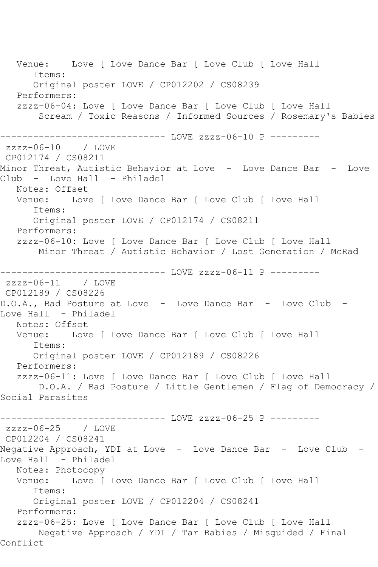Venue: Love [ Love Dance Bar [ Love Club [ Love Hall Items: Original poster LOVE / CP012202 / CS08239 Performers: zzzz-06-04: Love [ Love Dance Bar [ Love Club [ Love Hall Scream / Toxic Reasons / Informed Sources / Rosemary's Babies ------------------------------ LOVE zzzz-06-10 P -------- zzzz-06-10 / LOVE CP012174 / CS08211 Minor Threat, Autistic Behavior at Love - Love Dance Bar - Love Club - Love Hall - Philadel Notes: Offset Venue: Love [ Love Dance Bar [ Love Club [ Love Hall Items: Original poster LOVE / CP012174 / CS08211 Performers: zzzz-06-10: Love [ Love Dance Bar [ Love Club [ Love Hall Minor Threat / Autistic Behavior / Lost Generation / McRad ----------------------------- LOVE zzzz-06-11 P --------zzzz-06-11 / LOVE CP012189 / CS08226 D.O.A., Bad Posture at Love - Love Dance Bar - Love Club - Love Hall - Philadel Notes: Offset<br>Venue: Love Love [ Love Dance Bar [ Love Club [ Love Hall Items: Original poster LOVE / CP012189 / CS08226 Performers: zzzz-06-11: Love [ Love Dance Bar [ Love Club [ Love Hall D.O.A. / Bad Posture / Little Gentlemen / Flag of Democracy / Social Parasites ------------------------------ LOVE zzzz-06-25 P -------- zzzz-06-25 / LOVE CP012204 / CS08241 Negative Approach, YDI at Love - Love Dance Bar - Love Club - Love Hall - Philadel Notes: Photocopy<br>Venue: Love [ Love [ Love Dance Bar [ Love Club [ Love Hall Items: Original poster LOVE / CP012204 / CS08241 Performers: zzzz-06-25: Love [ Love Dance Bar [ Love Club [ Love Hall Negative Approach / YDI / Tar Babies / Misguided / Final Conflict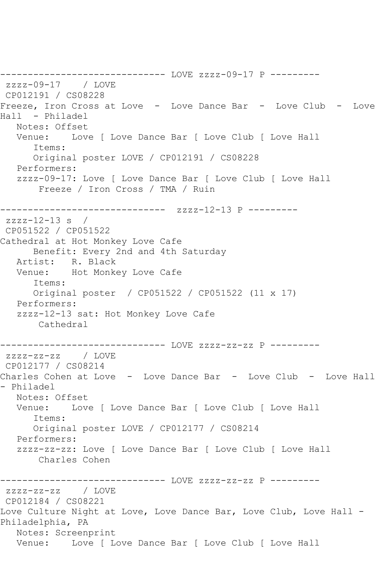------------------------------ LOVE zzzz-09-17 P -------- zzzz-09-17 / LOVE CP012191 / CS08228 Freeze, Iron Cross at Love - Love Dance Bar - Love Club - Love Hall - Philadel Notes: Offset<br>Venue: Lov Love [ Love Dance Bar [ Love Club [ Love Hall Items: Original poster LOVE / CP012191 / CS08228 Performers: zzzz-09-17: Love [ Love Dance Bar [ Love Club [ Love Hall Freeze / Iron Cross / TMA / Ruin ------------------------------ zzzz-12-13 P --------  $zzzz-12-13$  s / CP051522 / CP051522 Cathedral at Hot Monkey Love Cafe Benefit: Every 2nd and 4th Saturday Artist: R. Black Venue: Hot Monkey Love Cafe Items: Original poster / CP051522 / CP051522 (11 x 17) Performers: zzzz-12-13 sat: Hot Monkey Love Cafe Cathedral ------------------------------ LOVE zzzz-zz-zz P -------- zzzz-zz-zz / LOVE CP012177 / CS08214 Charles Cohen at Love - Love Dance Bar - Love Club - Love Hall - Philadel Notes: Offset Venue: Love [ Love Dance Bar [ Love Club [ Love Hall Items: Original poster LOVE / CP012177 / CS08214 Performers: zzzz-zz-zz: Love [ Love Dance Bar [ Love Club [ Love Hall Charles Cohen ------------------------------ LOVE zzzz-zz-zz P -------- zzzz-zz-zz / LOVE CP012184 / CS08221 Love Culture Night at Love, Love Dance Bar, Love Club, Love Hall -Philadelphia, PA Notes: Screenprint Venue: Love [ Love Dance Bar [ Love Club [ Love Hall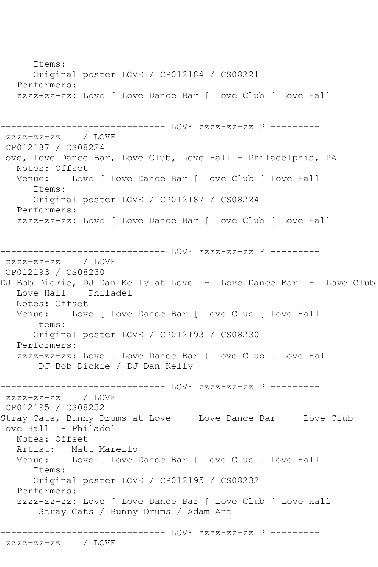Items: Original poster LOVE / CP012184 / CS08221 Performers: zzzz-zz-zz: Love [ Love Dance Bar [ Love Club [ Love Hall ------------------------------ LOVE zzzz-zz-zz P -------- zzzz-zz-zz / LOVE CP012187 / CS08224 Love, Love Dance Bar, Love Club, Love Hall - Philadelphia, PA Notes: Offset<br>Venue: Love Love [ Love Dance Bar [ Love Club [ Love Hall Items: Original poster LOVE / CP012187 / CS08224 Performers: zzzz-zz-zz: Love [ Love Dance Bar [ Love Club [ Love Hall ------------------------------ LOVE zzzz-zz-zz P -------- zzzz-zz-zz / LOVE CP012193 / CS08230 DJ Bob Dickie, DJ Dan Kelly at Love - Love Dance Bar - Love Club Love Hall - Philadel Notes: Offset Venue: Love [ Love Dance Bar [ Love Club [ Love Hall Items: Original poster LOVE / CP012193 / CS08230 Performers: zzzz-zz-zz: Love [ Love Dance Bar [ Love Club [ Love Hall DJ Bob Dickie / DJ Dan Kelly ------------------------------ LOVE zzzz-zz-zz P -------- zzzz-zz-zz / LOVE CP012195 / CS08232 Stray Cats, Bunny Drums at Love - Love Dance Bar - Love Club - Love Hall - Philadel Notes: Offset Artist: Matt Marello Venue: Love [ Love Dance Bar [ Love Club [ Love Hall Items: Original poster LOVE / CP012195 / CS08232 Performers: zzzz-zz-zz: Love [ Love Dance Bar [ Love Club [ Love Hall Stray Cats / Bunny Drums / Adam Ant ------------------------------ LOVE zzzz-zz-zz P -------- zzzz-zz-zz / LOVE